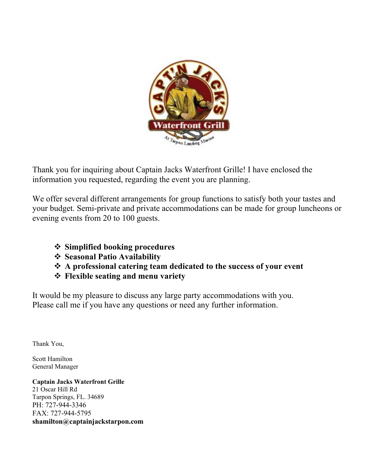

Thank you for inquiring about Captain Jacks Waterfront Grille! I have enclosed the information you requested, regarding the event you are planning.

We offer several different arrangements for group functions to satisfy both your tastes and your budget. Semi-private and private accommodations can be made for group luncheons or evening events from 20 to 100 guests.

- **Simplified booking procedures**
- **Seasonal Patio Availability**
- **A professional catering team dedicated to the success of your event**
- **Flexible seating and menu variety**

It would be my pleasure to discuss any large party accommodations with you. Please call me if you have any questions or need any further information.

Thank You,

Scott Hamilton General Manager

**Captain Jacks Waterfront Grille** 21 Oscar Hill Rd Tarpon Springs, FL. 34689 PH: 727-944-3346 FAX: 727-944-5795 **shamilton@captainjackstarpon.com**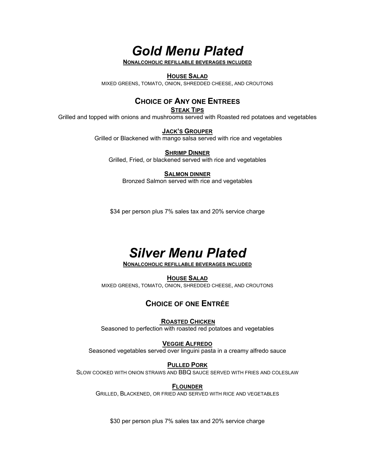*Gold Menu Plated* 

**NONALCOHOLIC REFILLABLE BEVERAGES INCLUDED**

#### **HOUSE SALAD**

MIXED GREENS, TOMATO, ONION, SHREDDED CHEESE, AND CROUTONS

## **CHOICE OF ANY ONE ENTREES**

**STEAK TIPS**

Grilled and topped with onions and mushrooms served with Roasted red potatoes and vegetables

**JACK'S GROUPER**

Grilled or Blackened with mango salsa served with rice and vegetables

**SHRIMP DINNER** Grilled, Fried, or blackened served with rice and vegetables

#### **SALMON DINNER**

Bronzed Salmon served with rice and vegetables

\$34 per person plus 7% sales tax and 20% service charge

# *Silver Menu Plated*

**NONALCOHOLIC REFILLABLE BEVERAGES INCLUDED**

#### **HOUSE SALAD**

MIXED GREENS, TOMATO, ONION, SHREDDED CHEESE, AND CROUTONS

#### **CHOICE OF ONE ENTRÉE**

#### **ROASTED CHICKEN**

Seasoned to perfection with roasted red potatoes and vegetables

#### **VEGGIE ALFREDO**

Seasoned vegetables served over linguini pasta in a creamy alfredo sauce

#### **PULLED PORK**

SLOW COOKED WITH ONION STRAWS AND BBQ SAUCE SERVED WITH FRIES AND COLESLAW

#### **FLOUNDER**

GRILLED, BLACKENED, OR FRIED AND SERVED WITH RICE AND VEGETABLES

\$30 per person plus 7% sales tax and 20% service charge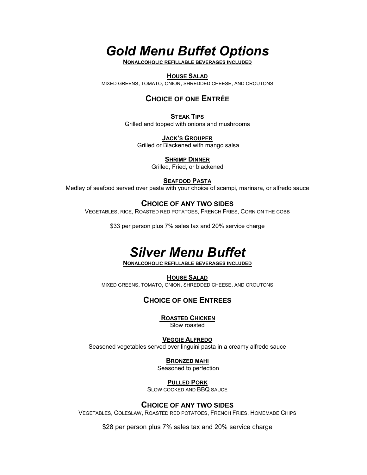# *Gold Menu Buffet Options*

**NONALCOHOLIC REFILLABLE BEVERAGES INCLUDED**

#### **HOUSE SALAD**

MIXED GREENS, TOMATO, ONION, SHREDDED CHEESE, AND CROUTONS

## **CHOICE OF ONE ENTRÉE**

**STEAK TIPS** Grilled and topped with onions and mushrooms

**JACK'S GROUPER** Grilled or Blackened with mango salsa

> **SHRIMP DINNER** Grilled, Fried, or blackened

> > **SEAFOOD PASTA**

Medley of seafood served over pasta with your choice of scampi, marinara, or alfredo sauce

### **CHOICE OF ANY TWO SIDES**

VEGETABLES, RICE, ROASTED RED POTATOES, FRENCH FRIES, CORN ON THE COBB

\$33 per person plus 7% sales tax and 20% service charge

# *Silver Menu Buffet*

**NONALCOHOLIC REFILLABLE BEVERAGES INCLUDED**

**HOUSE SALAD**

MIXED GREENS, TOMATO, ONION, SHREDDED CHEESE, AND CROUTONS

## **CHOICE OF ONE ENTREES**

**ROASTED CHICKEN**

Slow roasted

**VEGGIE ALFREDO** Seasoned vegetables served over linguini pasta in a creamy alfredo sauce

**BRONZED MAHI** 

Seasoned to perfection

**PULLED PORK**

SLOW COOKED AND BBQ SAUCE

#### **CHOICE OF ANY TWO SIDES**

VEGETABLES, COLESLAW, ROASTED RED POTATOES, FRENCH FRIES, HOMEMADE CHIPS

\$28 per person plus 7% sales tax and 20% service charge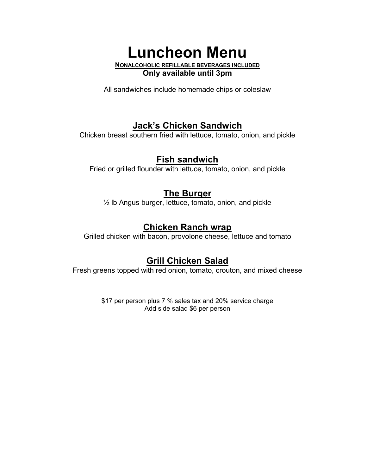**Luncheon Menu NONALCOHOLIC REFILLABLE BEVERAGES INCLUDED Only available until 3pm**

All sandwiches include homemade chips or coleslaw

# **Jack's Chicken Sandwich**

Chicken breast southern fried with lettuce, tomato, onion, and pickle

## **Fish sandwich**

Fried or grilled flounder with lettuce, tomato, onion, and pickle

# **The Burger**

½ lb Angus burger, lettuce, tomato, onion, and pickle

# **Chicken Ranch wrap**

Grilled chicken with bacon, provolone cheese, lettuce and tomato

# **Grill Chicken Salad**

Fresh greens topped with red onion, tomato, crouton, and mixed cheese

\$17 per person plus 7 % sales tax and 20% service charge Add side salad \$6 per person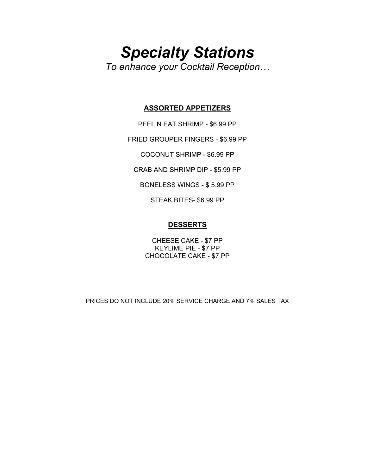# *Specialty Stations To enhance your Cocktail Reception…*

#### **ASSORTED APPETIZERS**

PEEL N EAT SHRIMP - \$6.99 PP

FRIED GROUPER FINGERS - \$6.99 PP

COCONUT SHRIMP - \$6.99 PP

CRAB AND SHRIMP DIP - \$5.99 PP

BONELESS WINGS - \$ 5.99 PP

STEAK BITES- \$6.99 PP

#### **DESSERTS**

CHEESE CAKE - \$7 PP KEYLIME PIE - \$7 PP CHOCOLATE CAKE - \$7 PP

PRICES DO NOT INCLUDE 20% SERVICE CHARGE AND 7% SALES TAX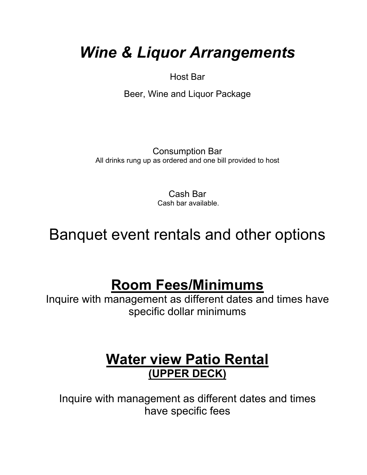# *Wine & Liquor Arrangements*

Host Bar

Beer, Wine and Liquor Package

Consumption Bar All drinks rung up as ordered and one bill provided to host

> Cash Bar Cash bar available.

Banquet event rentals and other options

# **Room Fees/Minimums**

Inquire with management as different dates and times have specific dollar minimums

# **Water view Patio Rental (UPPER DECK)**

Inquire with management as different dates and times have specific fees